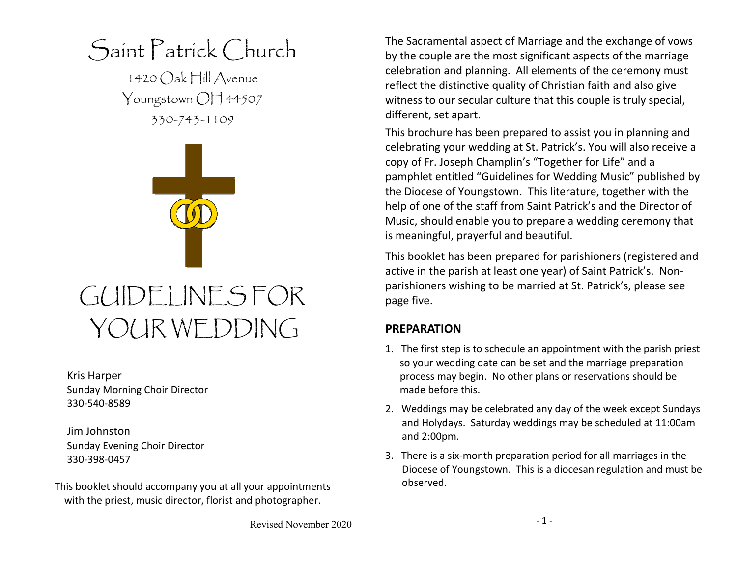Saint Patrick Church

1420 Oak Hill Avenue Youngstown OH 44507 330-743-1109



# GUIDELINES FOR YOUR WEDDING

Kris Harper Sunday Morning Choir Director 330-540-8589

Jim Johnston Sunday Evening Choir Director 330-398-0457

This booklet should accompany you at all your appointments with the priest, music director, florist and photographer.

The Sacramental aspect of Marriage and the exchange of vows by the couple are the most significant aspects of the marriage celebration and planning. All elements of the ceremony must reflect the distinctive quality of Christian faith and also give witness to our secular culture that this couple is truly special, different, set apart.

This brochure has been prepared to assist you in planning and celebrating your wedding at St. Patrick's. You will also receive a copy of Fr. Joseph Champlin's "Together for Life" and a pamphlet entitled "Guidelines for Wedding Music" published by the Diocese of Youngstown. This literature, together with the help of one of the staff from Saint Patrick's and the Director of Music, should enable you to prepare a wedding ceremony that is meaningful, prayerful and beautiful.

This booklet has been prepared for parishioners (registered and active in the parish at least one year) of Saint Patrick's. Nonparishioners wishing to be married at St. Patrick's, please see page five.

### **PREPARATION**

- 1. The first step is to schedule an appointment with the parish priest so your wedding date can be set and the marriage preparation process may begin. No other plans or reservations should be made before this.
- 2. Weddings may be celebrated any day of the week except Sundays and Holydays. Saturday weddings may be scheduled at 11:00am and 2:00pm.
- 3. There is a six-month preparation period for all marriages in the Diocese of Youngstown. This is a diocesan regulation and must be observed.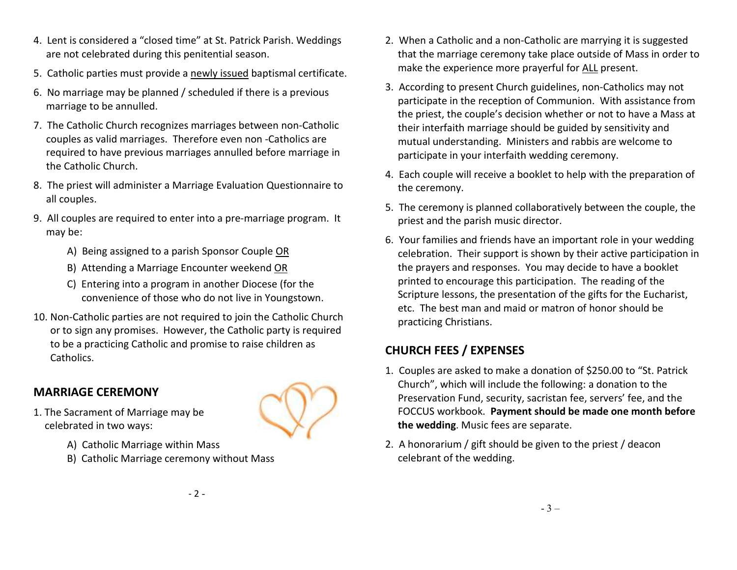- 4. Lent is considered a "closed time" at St. Patrick Parish. Weddings are not celebrated during this penitential season.
- 5. Catholic parties must provide a newly issued baptismal certificate.
- 6. No marriage may be planned / scheduled if there is a previous marriage to be annulled.
- 7. The Catholic Church recognizes marriages between non-Catholic couples as valid marriages. Therefore even non -Catholics are required to have previous marriages annulled before marriage in the Catholic Church.
- 8. The priest will administer a Marriage Evaluation Questionnaire to all couples.
- 9. All couples are required to enter into a pre-marriage program. It may be:
	- A) Being assigned to a parish Sponsor Couple OR
	- B) Attending a Marriage Encounter weekend OR
	- C) Entering into a program in another Diocese (for the convenience of those who do not live in Youngstown.
- 10. Non-Catholic parties are not required to join the Catholic Church or to sign any promises. However, the Catholic party is required to be a practicing Catholic and promise to raise children as Catholics.

## **MARRIAGE CEREMONY**



- 1. The Sacrament of Marriage may be celebrated in two ways:
	- A) Catholic Marriage within Mass
	- B) Catholic Marriage ceremony without Mass
- 2. When a Catholic and a non-Catholic are marrying it is suggested that the marriage ceremony take place outside of Mass in order to make the experience more prayerful for ALL present.
- 3. According to present Church guidelines, non-Catholics may not participate in the reception of Communion. With assistance from the priest, the couple's decision whether or not to have a Mass at their interfaith marriage should be guided by sensitivity and mutual understanding. Ministers and rabbis are welcome to participate in your interfaith wedding ceremony.
- 4. Each couple will receive a booklet to help with the preparation of the ceremony.
- 5. The ceremony is planned collaboratively between the couple, the priest and the parish music director.
- 6. Your families and friends have an important role in your wedding celebration. Their support is shown by their active participation in the prayers and responses. You may decide to have a booklet printed to encourage this participation. The reading of the Scripture lessons, the presentation of the gifts for the Eucharist, etc. The best man and maid or matron of honor should be practicing Christians.

# **CHURCH FEES / EXPENSES**

- 1. Couples are asked to make a donation of \$250.00 to "St. Patrick Church", which will include the following: a donation to the Preservation Fund, security, sacristan fee, servers' fee, and the FOCCUS workbook. **Payment should be made one month before the wedding**. Music fees are separate.
- 2. A honorarium / gift should be given to the priest / deacon celebrant of the wedding.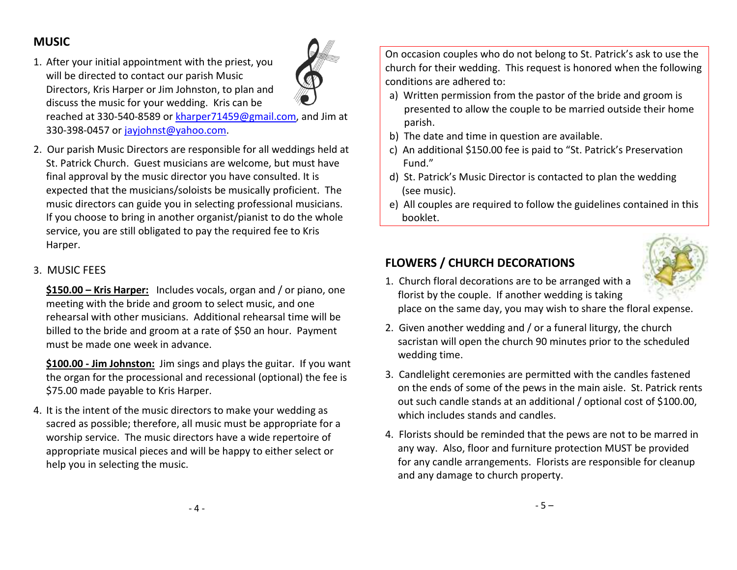## **MUSIC**

1. After your initial appointment with the priest, you will be directed to contact our parish Music Directors, Kris Harper or Jim Johnston, to plan and discuss the music for your wedding. Kris can be



reached at 330-540-8589 or kharper71459@gmail.com, and Jim at 330-398-0457 or jayjohnst@yahoo.com.

2. Our parish Music Directors are responsible for all weddings held at St. Patrick Church. Guest musicians are welcome, but must have final approval by the music director you have consulted. It is expected that the musicians/soloists be musically proficient. The music directors can guide you in selecting professional musicians. If you choose to bring in another organist/pianist to do the whole service, you are still obligated to pay the required fee to Kris Harper.

#### 3. MUSIC FEES

**\$150.00 – Kris Harper:** Includes vocals, organ and / or piano, one meeting with the bride and groom to select music, and one rehearsal with other musicians. Additional rehearsal time will be billed to the bride and groom at a rate of \$50 an hour. Payment must be made one week in advance.

**\$100.00 - Jim Johnston:** Jim sings and plays the guitar. If you want the organ for the processional and recessional (optional) the fee is \$75.00 made payable to Kris Harper.

4. It is the intent of the music directors to make your wedding as sacred as possible; therefore, all music must be appropriate for a worship service. The music directors have a wide repertoire of appropriate musical pieces and will be happy to either select or help you in selecting the music.

On occasion couples who do not belong to St. Patrick's ask to use the church for their wedding. This request is honored when the following conditions are adhered to:

- a) Written permission from the pastor of the bride and groom is presented to allow the couple to be married outside their home parish.
- b) The date and time in question are available.
- c) An additional \$150.00 fee is paid to "St. Patrick's Preservation Fund."
- d) St. Patrick's Music Director is contacted to plan the wedding (see music).
- e) All couples are required to follow the guidelines contained in this booklet.



## **FLOWERS / CHURCH DECORATIONS**

- 1. Church floral decorations are to be arranged with a florist by the couple. If another wedding is taking place on the same day, you may wish to share the floral expense.
- 2. Given another wedding and / or a funeral liturgy, the church sacristan will open the church 90 minutes prior to the scheduled wedding time.
- 3. Candlelight ceremonies are permitted with the candles fastened on the ends of some of the pews in the main aisle. St. Patrick rents out such candle stands at an additional / optional cost of \$100.00, which includes stands and candles.
- 4. Florists should be reminded that the pews are not to be marred in any way. Also, floor and furniture protection MUST be provided for any candle arrangements. Florists are responsible for cleanup and any damage to church property.